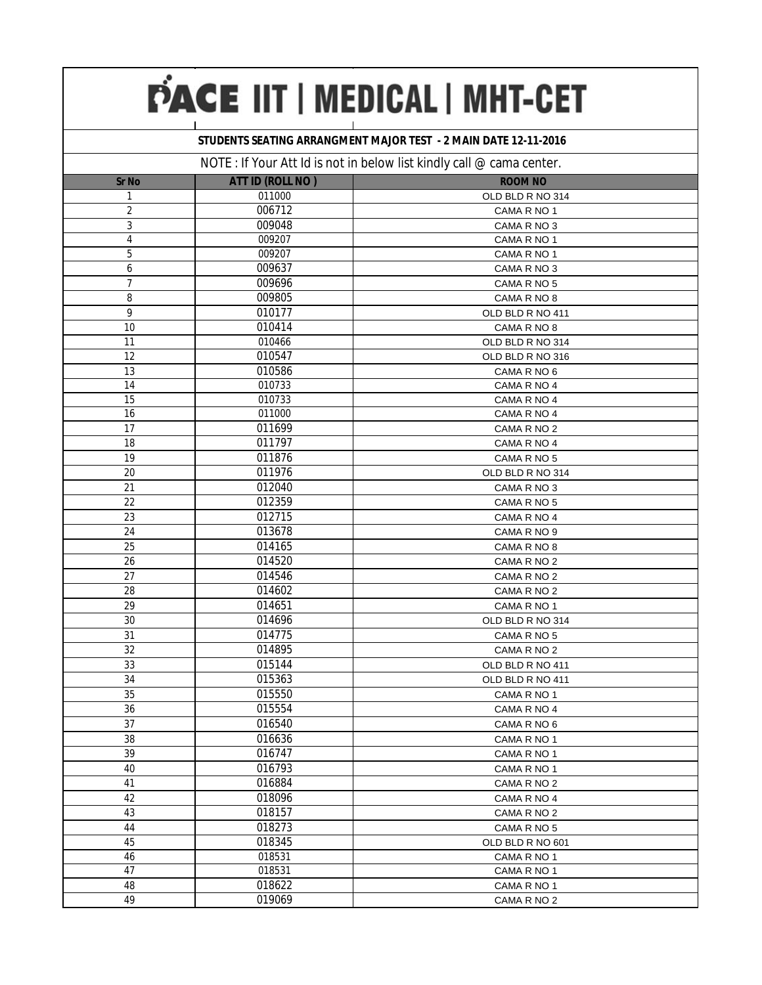### **STUDENTS SEATING ARRANGMENT MAJOR TEST - 2 MAIN DATE 12-11-2016**

|                |                         | $110$ TE . IT TOWER TO BE THOT ITEDCTORY TIST NITIDELY CALL $\approx$ Carrier Correct. |
|----------------|-------------------------|----------------------------------------------------------------------------------------|
| <b>Sr No</b>   | <b>ATT ID (ROLL NO)</b> | <b>ROOM NO</b>                                                                         |
| 1              | 011000                  | OLD BLD R NO 314                                                                       |
| $\overline{2}$ | 006712                  | CAMA R NO 1                                                                            |
| 3              | 009048                  | CAMA R NO 3                                                                            |
| $\overline{4}$ | 009207                  | CAMA R NO 1                                                                            |
| 5              | 009207                  | CAMA R NO 1                                                                            |
| 6              | 009637                  | CAMA R NO 3                                                                            |
| $\overline{7}$ | 009696                  | CAMA R NO 5                                                                            |
| 8              | 009805                  | CAMA R NO 8                                                                            |
| 9              | 010177                  | OLD BLD R NO 411                                                                       |
| 10             | 010414                  | CAMA R NO 8                                                                            |
| 11             | 010466                  | OLD BLD R NO 314                                                                       |
| 12             | 010547                  | OLD BLD R NO 316                                                                       |
| 13             | 010586                  | CAMA R NO 6                                                                            |
| 14             | 010733                  | CAMA R NO 4                                                                            |
| 15             | 010733                  | CAMA R NO 4                                                                            |
| 16             | 011000                  | CAMA R NO 4                                                                            |
| 17             | 011699                  | CAMA R NO 2                                                                            |
| 18             | 011797                  | CAMA R NO 4                                                                            |
| 19             | 011876                  | CAMA R NO 5                                                                            |
| 20             | 011976                  | OLD BLD R NO 314                                                                       |
| 21             | 012040                  | CAMA R NO 3                                                                            |
| 22             | 012359                  | CAMA R NO 5                                                                            |
| 23             | 012715                  | CAMA R NO 4                                                                            |
| 24             | 013678                  | CAMA R NO 9                                                                            |
| 25             | 014165                  | CAMA R NO 8                                                                            |
| 26             | 014520                  | CAMA R NO 2                                                                            |
| 27             | 014546                  | CAMA R NO 2                                                                            |
| 28             | 014602                  | CAMA R NO 2                                                                            |
| 29             | 014651                  | CAMA R NO 1                                                                            |
| 30             | 014696                  | OLD BLD R NO 314                                                                       |
| 31             | 014775                  | CAMA R NO 5                                                                            |
| 32             | 014895                  | CAMA R NO 2                                                                            |
| 33             | 015144                  | OLD BLD R NO 411                                                                       |
| 34             | 015363                  | OLD BLD R NO 411                                                                       |
| 35             | 015550                  | CAMA R NO 1                                                                            |
| 36             | 015554                  | CAMA R NO 4                                                                            |
| 37             | 016540                  | CAMA R NO 6                                                                            |
| 38             | 016636                  | CAMA R NO 1                                                                            |
| 39             | 016747                  | CAMA R NO 1                                                                            |
| 40             | 016793                  | CAMA R NO 1                                                                            |
| 41             | 016884                  | CAMA R NO 2                                                                            |
| 42             | 018096                  | CAMA R NO 4                                                                            |
| 43             | 018157                  | CAMA R NO 2                                                                            |
| 44             | 018273                  | CAMA R NO 5                                                                            |
| 45             | 018345                  | OLD BLD R NO 601                                                                       |
| 46             | 018531                  | CAMA R NO 1                                                                            |
| 47             | 018531                  | CAMA R NO 1                                                                            |
| 48             | 018622                  | CAMA R NO 1                                                                            |
| 49             | 019069                  | CAMA R NO 2                                                                            |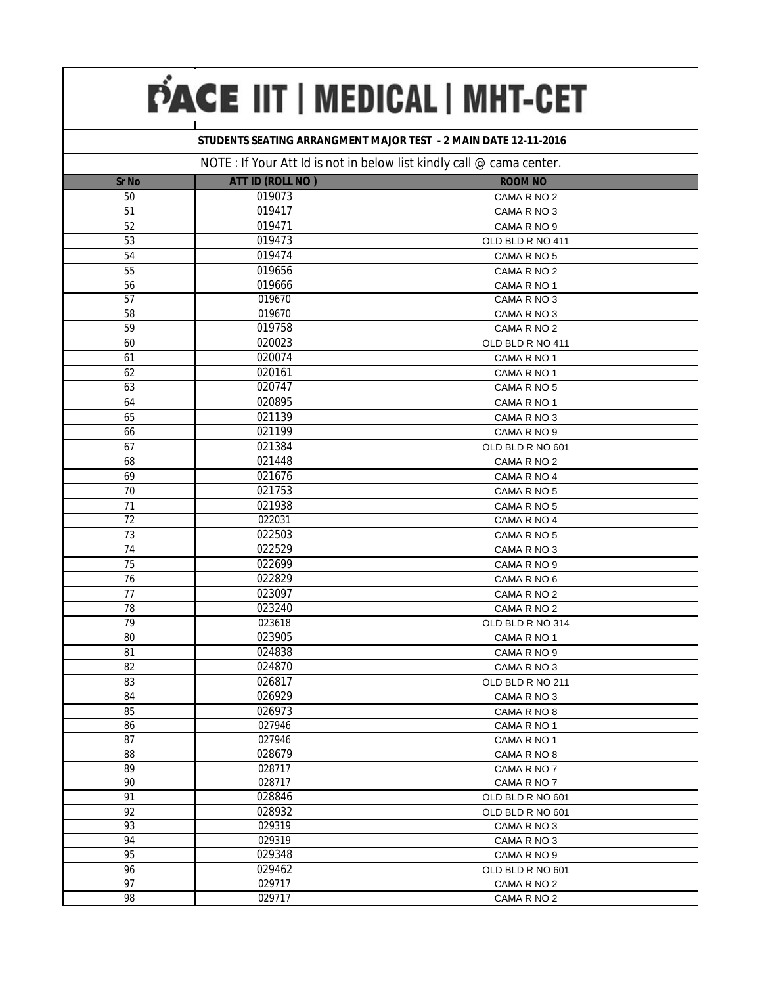### **STUDENTS SEATING ARRANGMENT MAJOR TEST - 2 MAIN DATE 12-11-2016**

|                 |                         | $\sim$ . $\sim$ . To an <i>T</i> (C i and is not in polony is critically ban $\sim$ banna borror. |
|-----------------|-------------------------|---------------------------------------------------------------------------------------------------|
| <b>Sr No</b>    | <b>ATT ID (ROLL NO)</b> | <b>ROOM NO</b>                                                                                    |
| 50              | 019073                  | CAMA R NO 2                                                                                       |
| 51              | 019417                  | CAMA R NO 3                                                                                       |
| 52              | 019471                  | CAMA R NO 9                                                                                       |
| 53              | 019473                  | OLD BLD R NO 411                                                                                  |
| 54              | 019474                  | CAMA R NO 5                                                                                       |
| 55              | 019656                  | CAMA R NO 2                                                                                       |
| 56              | 019666                  | CAMA R NO 1                                                                                       |
| 57              | 019670                  | CAMA R NO 3                                                                                       |
| 58              | 019670                  | CAMA R NO 3                                                                                       |
| 59              | 019758                  | CAMA R NO 2                                                                                       |
| 60              | 020023                  | OLD BLD R NO 411                                                                                  |
| 61              | 020074                  | CAMA R NO 1                                                                                       |
| 62              | 020161                  | CAMA R NO 1                                                                                       |
| 63              | 020747                  | CAMA R NO 5                                                                                       |
| 64              | 020895                  | CAMA R NO 1                                                                                       |
| 65              | 021139                  | CAMA R NO 3                                                                                       |
| 66              | 021199                  | CAMA R NO 9                                                                                       |
| 67              | 021384                  | OLD BLD R NO 601                                                                                  |
| 68              | 021448                  | CAMA R NO 2                                                                                       |
| 69              | 021676                  | CAMA R NO 4                                                                                       |
| 70              | 021753                  | CAMA R NO 5                                                                                       |
| 71              | 021938                  | CAMA R NO 5                                                                                       |
| 72              | 022031                  | CAMA R NO 4                                                                                       |
| 73              | 022503                  | CAMA R NO 5                                                                                       |
| 74              | 022529                  | CAMA R NO 3                                                                                       |
| 75              | 022699                  | CAMA R NO 9                                                                                       |
| 76              | 022829                  | CAMA R NO 6                                                                                       |
| 77              | 023097                  | CAMA R NO 2                                                                                       |
| 78              | 023240                  | CAMA R NO 2                                                                                       |
| 79              | 023618                  | OLD BLD R NO 314                                                                                  |
| 80              | 023905                  | CAMA R NO 1                                                                                       |
| 81              | 024838                  | CAMA R NO 9                                                                                       |
| 82              | 024870                  | CAMA R NO 3                                                                                       |
| 83              | 026817                  | OLD BLD R NO 211                                                                                  |
| 84              | 026929                  | CAMA R NO 3                                                                                       |
| 85              | 026973                  | CAMA R NO 8                                                                                       |
| 86              | 027946                  | CAMA R NO 1                                                                                       |
| 87              | 027946                  | CAMA R NO 1                                                                                       |
| 88              | 028679                  | CAMA R NO 8                                                                                       |
| 89              | 028717                  | CAMA R NO 7                                                                                       |
| 90              | 028717                  | CAMA R NO 7                                                                                       |
| 91              | 028846                  | OLD BLD R NO 601                                                                                  |
| 92              | 028932                  | OLD BLD R NO 601                                                                                  |
| 93              | 029319                  | CAMA R NO 3                                                                                       |
| 94              | 029319                  | CAMA R NO 3                                                                                       |
| 95              | 029348                  | CAMA R NO 9                                                                                       |
| 96              | 029462                  | OLD BLD R NO 601                                                                                  |
| $\overline{97}$ | 029717                  | CAMA R NO 2                                                                                       |
| 98              | 029717                  | CAMA R NO 2                                                                                       |
|                 |                         |                                                                                                   |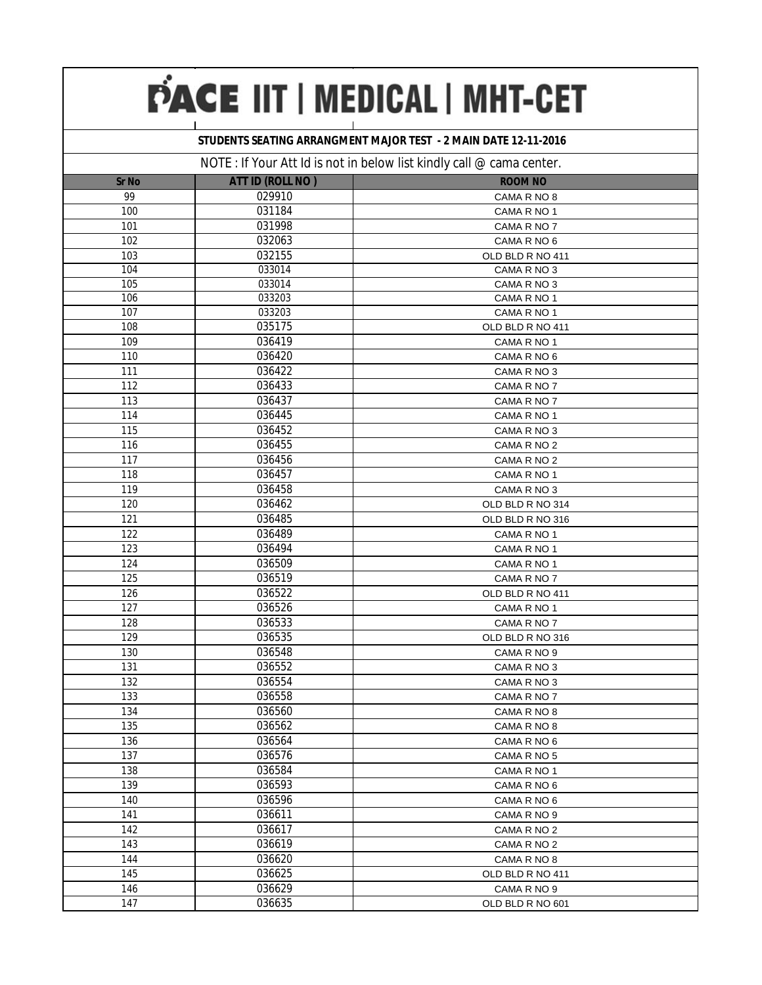### **STUDENTS SEATING ARRANGMENT MAJOR TEST - 2 MAIN DATE 12-11-2016**

|              |                         | $N$ and $N$ and $N$ are $N$ and $N$ are $N$ and $N$ and $N$ and $N$ and $N$ are $N$ and $N$ are $N$ and $N$ are $N$ and $N$ are $N$ and $N$ are $N$ and $N$ are $N$ and $N$ are $N$ and $N$ are $N$ and $N$ are $N$ and $N$ a |
|--------------|-------------------------|-------------------------------------------------------------------------------------------------------------------------------------------------------------------------------------------------------------------------------|
| <b>Sr No</b> | <b>ATT ID (ROLL NO)</b> | <b>ROOM NO</b>                                                                                                                                                                                                                |
| 99           | 029910                  | CAMA R NO 8                                                                                                                                                                                                                   |
| 100          | 031184                  | CAMA R NO 1                                                                                                                                                                                                                   |
| 101          | 031998                  | CAMA R NO 7                                                                                                                                                                                                                   |
| 102          | 032063                  | CAMA R NO 6                                                                                                                                                                                                                   |
| 103          | 032155                  | OLD BLD R NO 411                                                                                                                                                                                                              |
| 104          | 033014                  | CAMA R NO 3                                                                                                                                                                                                                   |
| 105          | 033014                  | CAMA R NO 3                                                                                                                                                                                                                   |
| 106          | 033203                  | CAMA R NO 1                                                                                                                                                                                                                   |
| 107          | 033203                  | CAMA R NO 1                                                                                                                                                                                                                   |
| 108          | 035175                  | OLD BLD R NO 411                                                                                                                                                                                                              |
| 109          | 036419                  | CAMA R NO 1                                                                                                                                                                                                                   |
| 110          | 036420                  | CAMA R NO 6                                                                                                                                                                                                                   |
| 111          | 036422                  | CAMA R NO 3                                                                                                                                                                                                                   |
| 112          | 036433                  | CAMA R NO 7                                                                                                                                                                                                                   |
| 113          | 036437                  | CAMA R NO 7                                                                                                                                                                                                                   |
| 114          | 036445                  | CAMA R NO 1                                                                                                                                                                                                                   |
| 115          | 036452                  | CAMA R NO 3                                                                                                                                                                                                                   |
| 116          | 036455                  | CAMA R NO 2                                                                                                                                                                                                                   |
| 117          | 036456                  | CAMA R NO 2                                                                                                                                                                                                                   |
| 118          | 036457                  | CAMA R NO 1                                                                                                                                                                                                                   |
| 119          | 036458                  | CAMA R NO 3                                                                                                                                                                                                                   |
| 120          | 036462                  | OLD BLD R NO 314                                                                                                                                                                                                              |
| 121          | 036485                  | OLD BLD R NO 316                                                                                                                                                                                                              |
| 122          | 036489                  | CAMA R NO 1                                                                                                                                                                                                                   |
| 123          | 036494                  | CAMA R NO 1                                                                                                                                                                                                                   |
| 124          | 036509                  | CAMA R NO 1                                                                                                                                                                                                                   |
| 125          | 036519                  | CAMA R NO 7                                                                                                                                                                                                                   |
| 126          | 036522                  | OLD BLD R NO 411                                                                                                                                                                                                              |
| 127          | 036526                  | CAMA R NO 1                                                                                                                                                                                                                   |
| 128          | 036533                  | CAMA R NO 7                                                                                                                                                                                                                   |
| 129          | 036535                  | OLD BLD R NO 316                                                                                                                                                                                                              |
| 130          | 036548                  | CAMA R NO 9                                                                                                                                                                                                                   |
| 131          | 036552                  | CAMA R NO 3                                                                                                                                                                                                                   |
| 132          | 036554                  | CAMA R NO 3                                                                                                                                                                                                                   |
| 133          | 036558                  | CAMA R NO 7                                                                                                                                                                                                                   |
| 134          | 036560                  | CAMA R NO 8                                                                                                                                                                                                                   |
| 135          | 036562                  | CAMA R NO 8                                                                                                                                                                                                                   |
| 136          | 036564                  | CAMA R NO 6                                                                                                                                                                                                                   |
| 137          | 036576                  | CAMA R NO 5                                                                                                                                                                                                                   |
| 138          | 036584                  | CAMA R NO 1                                                                                                                                                                                                                   |
| 139          | 036593                  | CAMA R NO 6                                                                                                                                                                                                                   |
| 140          | 036596                  | CAMA R NO 6                                                                                                                                                                                                                   |
| 141          | 036611                  | CAMA R NO 9                                                                                                                                                                                                                   |
| 142          | 036617                  | CAMA R NO 2                                                                                                                                                                                                                   |
| 143          | 036619                  | CAMA R NO 2                                                                                                                                                                                                                   |
| 144          | 036620                  | CAMA R NO 8                                                                                                                                                                                                                   |
| 145          | 036625                  | OLD BLD R NO 411                                                                                                                                                                                                              |
| 146          | 036629                  | CAMA R NO 9                                                                                                                                                                                                                   |
| 147          | 036635                  | OLD BLD R NO 601                                                                                                                                                                                                              |
|              |                         |                                                                                                                                                                                                                               |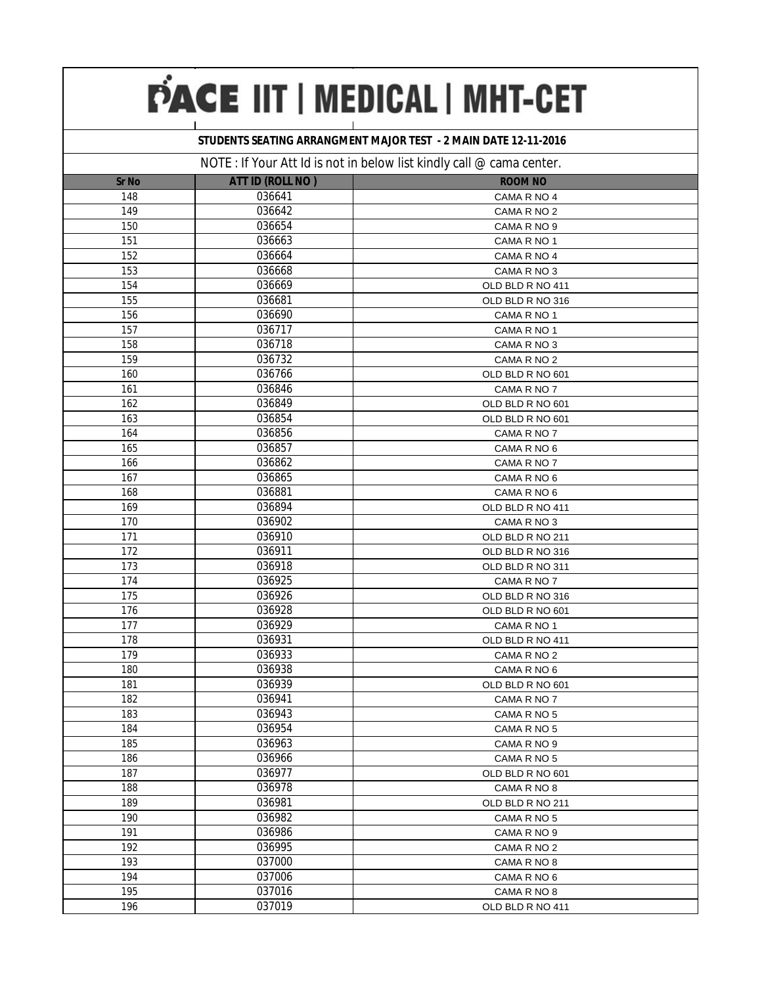### **STUDENTS SEATING ARRANGMENT MAJOR TEST - 2 MAIN DATE 12-11-2016**

|              |                         | $N$ $\cup$ $L$ . If you Att id is not in below itst Kindly can $\mathfrak{B}$ called center. |
|--------------|-------------------------|----------------------------------------------------------------------------------------------|
| <b>Sr No</b> | <b>ATT ID (ROLL NO)</b> | <b>ROOM NO</b>                                                                               |
| 148          | 036641                  | CAMA R NO 4                                                                                  |
| 149          | 036642                  | CAMA R NO 2                                                                                  |
| 150          | 036654                  | CAMA R NO 9                                                                                  |
| 151          | 036663                  | CAMA R NO 1                                                                                  |
| 152          | 036664                  | CAMA R NO 4                                                                                  |
| 153          | 036668                  | CAMA R NO 3                                                                                  |
| 154          | 036669                  | OLD BLD R NO 411                                                                             |
| 155          | 036681                  | OLD BLD R NO 316                                                                             |
| 156          | 036690                  | CAMA R NO 1                                                                                  |
| 157          | 036717                  | CAMA R NO 1                                                                                  |
| 158          | 036718                  | CAMA R NO 3                                                                                  |
| 159          | 036732                  | CAMA R NO 2                                                                                  |
| 160          | 036766                  | OLD BLD R NO 601                                                                             |
| 161          | 036846                  | CAMA R NO 7                                                                                  |
| 162          | 036849                  | OLD BLD R NO 601                                                                             |
| 163          | 036854                  | OLD BLD R NO 601                                                                             |
| 164          | 036856                  | CAMA R NO 7                                                                                  |
| 165          | 036857                  | CAMA R NO 6                                                                                  |
| 166          | 036862                  | CAMA R NO 7                                                                                  |
| 167          | 036865                  | CAMA R NO 6                                                                                  |
| 168          | 036881                  | CAMA R NO 6                                                                                  |
| 169          | 036894                  | OLD BLD R NO 411                                                                             |
| 170          | 036902                  | CAMA R NO 3                                                                                  |
| 171          | 036910                  | OLD BLD R NO 211                                                                             |
| 172          | 036911                  | OLD BLD R NO 316                                                                             |
| 173          | 036918                  | OLD BLD R NO 311                                                                             |
| 174          | 036925                  | CAMA R NO 7                                                                                  |
| 175          | 036926                  | OLD BLD R NO 316                                                                             |
| 176          | 036928                  | OLD BLD R NO 601                                                                             |
| 177          | 036929                  | CAMA R NO 1                                                                                  |
| 178          | 036931                  | OLD BLD R NO 411                                                                             |
| 179          | 036933                  | CAMA R NO 2                                                                                  |
| 180          | 036938                  | CAMA R NO 6                                                                                  |
| 181          | 036939                  | OLD BLD R NO 601                                                                             |
| 182          | 036941                  | CAMA R NO 7                                                                                  |
| 183          | 036943                  | CAMA R NO 5                                                                                  |
| 184          | 036954                  | CAMA R NO 5                                                                                  |
| 185          | 036963                  | CAMA R NO 9                                                                                  |
| 186          | 036966                  | CAMA R NO 5                                                                                  |
| 187          | 036977                  | OLD BLD R NO 601                                                                             |
| 188          | 036978                  | CAMA R NO 8                                                                                  |
| 189          | 036981                  | OLD BLD R NO 211                                                                             |
| 190          | 036982                  | CAMA R NO 5                                                                                  |
| 191          | 036986                  | CAMA R NO 9                                                                                  |
| 192          | 036995                  | CAMA R NO 2                                                                                  |
| 193          | 037000                  | CAMA R NO 8                                                                                  |
| 194          | 037006                  | CAMA R NO 6                                                                                  |
| 195          | 037016                  | CAMA R NO 8                                                                                  |
| 196          | 037019                  | OLD BLD R NO 411                                                                             |
|              |                         |                                                                                              |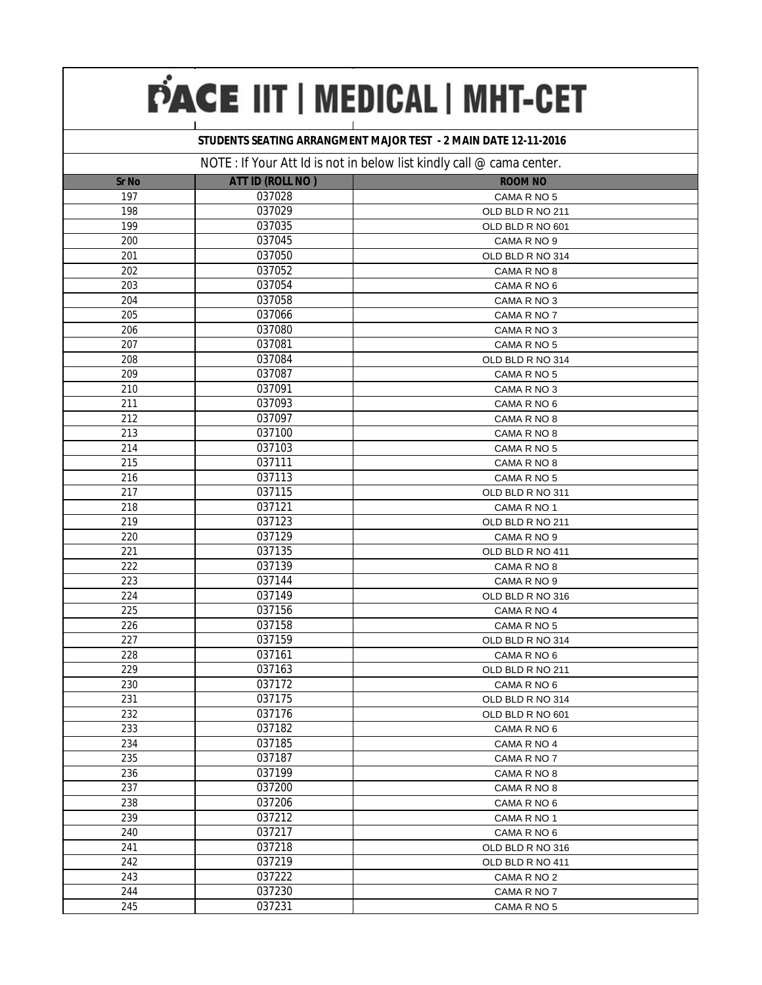### **STUDENTS SEATING ARRANGMENT MAJOR TEST - 2 MAIN DATE 12-11-2016**

|              |                  | $110$ in the product of $3100$ in below that will $\theta$ can $\approx$ called content. |
|--------------|------------------|------------------------------------------------------------------------------------------|
| <b>Sr No</b> | ATT ID (ROLL NO) | <b>ROOM NO</b>                                                                           |
| 197          | 037028           | CAMA R NO 5                                                                              |
| 198          | 037029           | OLD BLD R NO 211                                                                         |
| 199          | 037035           | OLD BLD R NO 601                                                                         |
| 200          | 037045           | CAMA R NO 9                                                                              |
| 201          | 037050           | OLD BLD R NO 314                                                                         |
| 202          | 037052           | CAMA R NO 8                                                                              |
| 203          | 037054           | CAMA R NO 6                                                                              |
| 204          | 037058           | CAMA R NO 3                                                                              |
| 205          | 037066           | CAMA R NO 7                                                                              |
| 206          | 037080           | CAMA R NO 3                                                                              |
| 207          | 037081           | CAMA R NO 5                                                                              |
| 208          | 037084           | OLD BLD R NO 314                                                                         |
| 209          | 037087           | CAMA R NO 5                                                                              |
| 210          | 037091           | CAMA R NO 3                                                                              |
| 211          | 037093           | CAMA R NO 6                                                                              |
| 212          | 037097           | CAMA R NO 8                                                                              |
| 213          | 037100           | CAMA R NO 8                                                                              |
| 214          | 037103           | CAMA R NO 5                                                                              |
| 215          | 037111           | CAMA R NO 8                                                                              |
| 216          | 037113           | CAMA R NO 5                                                                              |
| 217          | 037115           | OLD BLD R NO 311                                                                         |
| 218          | 037121           | CAMA R NO 1                                                                              |
| 219          | 037123           | OLD BLD R NO 211                                                                         |
| 220          | 037129           | CAMA R NO 9                                                                              |
| 221          | 037135           | OLD BLD R NO 411                                                                         |
| 222          | 037139           | CAMA R NO 8                                                                              |
| 223          | 037144           | CAMA R NO 9                                                                              |
| 224          | 037149           | OLD BLD R NO 316                                                                         |
| 225          | 037156           | CAMA R NO 4                                                                              |
| 226          | 037158           | CAMA R NO 5                                                                              |
| 227          | 037159           | OLD BLD R NO 314                                                                         |
| 228          | 037161           | CAMA R NO 6                                                                              |
| 229          | 037163           | OLD BLD R NO 211                                                                         |
| 230          | 037172           | CAMA R NO 6                                                                              |
| 231          | 037175           | OLD BLD R NO 314                                                                         |
| 232          | 037176           | OLD BLD R NO 601                                                                         |
| 233          | 037182           | CAMA R NO 6                                                                              |
| 234          | 037185           | CAMA R NO 4                                                                              |
| 235          | 037187           | CAMA R NO 7                                                                              |
| 236          | 037199           | CAMA R NO 8                                                                              |
| 237          | 037200           | CAMA R NO 8                                                                              |
| 238          | 037206           | CAMA R NO 6                                                                              |
| 239          | 037212           | CAMA R NO 1                                                                              |
| 240          | 037217           | CAMA R NO 6                                                                              |
| 241          | 037218           | OLD BLD R NO 316                                                                         |
| 242          | 037219           | OLD BLD R NO 411                                                                         |
| 243          | 037222           | CAMA R NO 2                                                                              |
| 244          | 037230           | CAMA R NO 7                                                                              |
| 245          | 037231           | CAMA R NO 5                                                                              |
|              |                  |                                                                                          |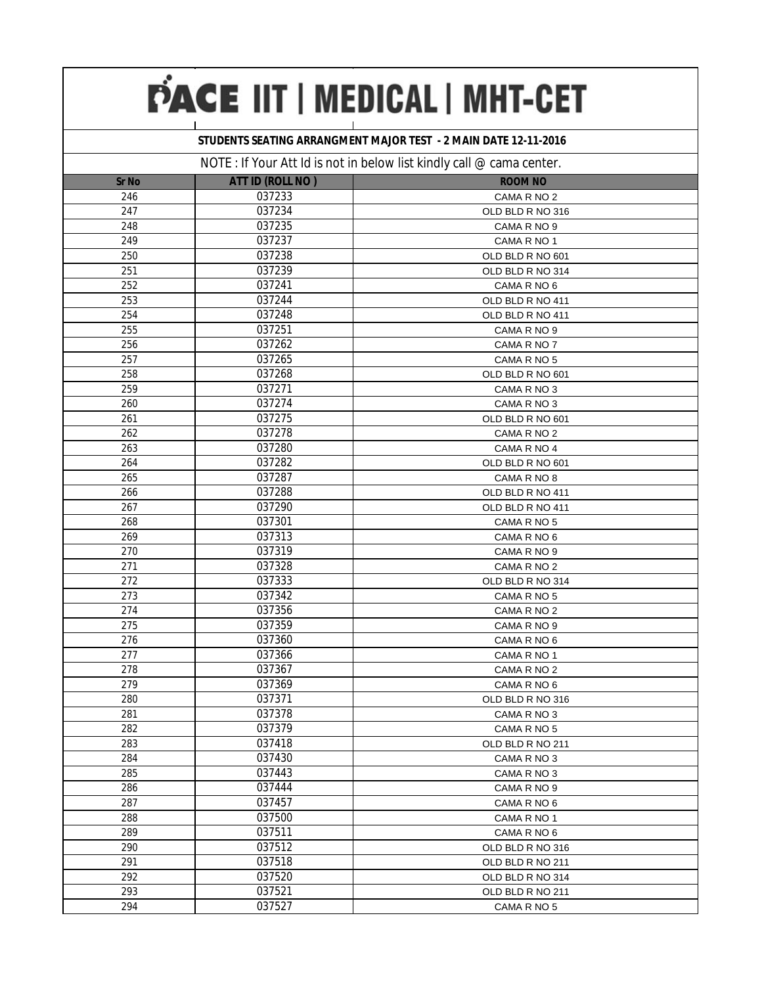### **STUDENTS SEATING ARRANGMENT MAJOR TEST - 2 MAIN DATE 12-11-2016**

|              |                         | $11011$ . If you Att in is not in below itst Kindly can $\infty$ called center. |
|--------------|-------------------------|---------------------------------------------------------------------------------|
| <b>Sr No</b> | <b>ATT ID (ROLL NO)</b> | <b>ROOM NO</b>                                                                  |
| 246          | 037233                  | CAMA R NO 2                                                                     |
| 247          | 037234                  | OLD BLD R NO 316                                                                |
| 248          | 037235                  | CAMA R NO 9                                                                     |
| 249          | 037237                  | CAMA R NO 1                                                                     |
| 250          | 037238                  | OLD BLD R NO 601                                                                |
| 251          | 037239                  | OLD BLD R NO 314                                                                |
| 252          | 037241                  | CAMA R NO 6                                                                     |
| 253          | 037244                  | OLD BLD R NO 411                                                                |
| 254          | 037248                  | OLD BLD R NO 411                                                                |
| 255          | 037251                  | CAMA R NO 9                                                                     |
| 256          | 037262                  | CAMA R NO 7                                                                     |
| 257          | 037265                  | CAMA R NO 5                                                                     |
| 258          | 037268                  | OLD BLD R NO 601                                                                |
| 259          | 037271                  | CAMA R NO 3                                                                     |
| 260          | 037274                  | CAMA R NO 3                                                                     |
| 261          | 037275                  | OLD BLD R NO 601                                                                |
| 262          | 037278                  | CAMA R NO 2                                                                     |
| 263          | 037280                  | CAMA R NO 4                                                                     |
| 264          | 037282                  | OLD BLD R NO 601                                                                |
| 265          | 037287                  | CAMA R NO 8                                                                     |
| 266          | 037288                  | OLD BLD R NO 411                                                                |
| 267          | 037290                  | OLD BLD R NO 411                                                                |
| 268          | 037301                  | CAMA R NO 5                                                                     |
| 269          | 037313                  | CAMA R NO 6                                                                     |
| 270          | 037319                  | CAMA R NO 9                                                                     |
| 271          | 037328                  | CAMA R NO 2                                                                     |
| 272          | 037333                  | OLD BLD R NO 314                                                                |
| 273          | 037342                  | CAMA R NO 5                                                                     |
| 274          | 037356                  | CAMA R NO 2                                                                     |
| 275          | 037359                  | CAMA R NO 9                                                                     |
| 276          | 037360                  | CAMA R NO 6                                                                     |
| 277          | 037366                  | CAMA R NO 1                                                                     |
| 278          | 037367                  | CAMA R NO 2                                                                     |
| 279          | 037369                  | CAMA R NO 6                                                                     |
| 280          | 037371                  | OLD BLD R NO 316                                                                |
| 281          | 037378                  | CAMA R NO 3                                                                     |
| 282          | 037379                  | CAMA R NO 5                                                                     |
| 283          | 037418                  | OLD BLD R NO 211                                                                |
| 284          | 037430                  | CAMA R NO 3                                                                     |
| 285          | 037443                  | CAMA R NO 3                                                                     |
| 286          | 037444                  | CAMA R NO 9                                                                     |
| 287          | 037457                  | CAMA R NO 6                                                                     |
| 288          | 037500                  | CAMA R NO 1                                                                     |
| 289          | 037511                  | CAMA R NO 6                                                                     |
| 290          | 037512                  | OLD BLD R NO 316                                                                |
| 291          | 037518                  | OLD BLD R NO 211                                                                |
| 292          | 037520                  | OLD BLD R NO 314                                                                |
| 293          | 037521                  | OLD BLD R NO 211                                                                |
| 294          | 037527                  | CAMA R NO 5                                                                     |
|              |                         |                                                                                 |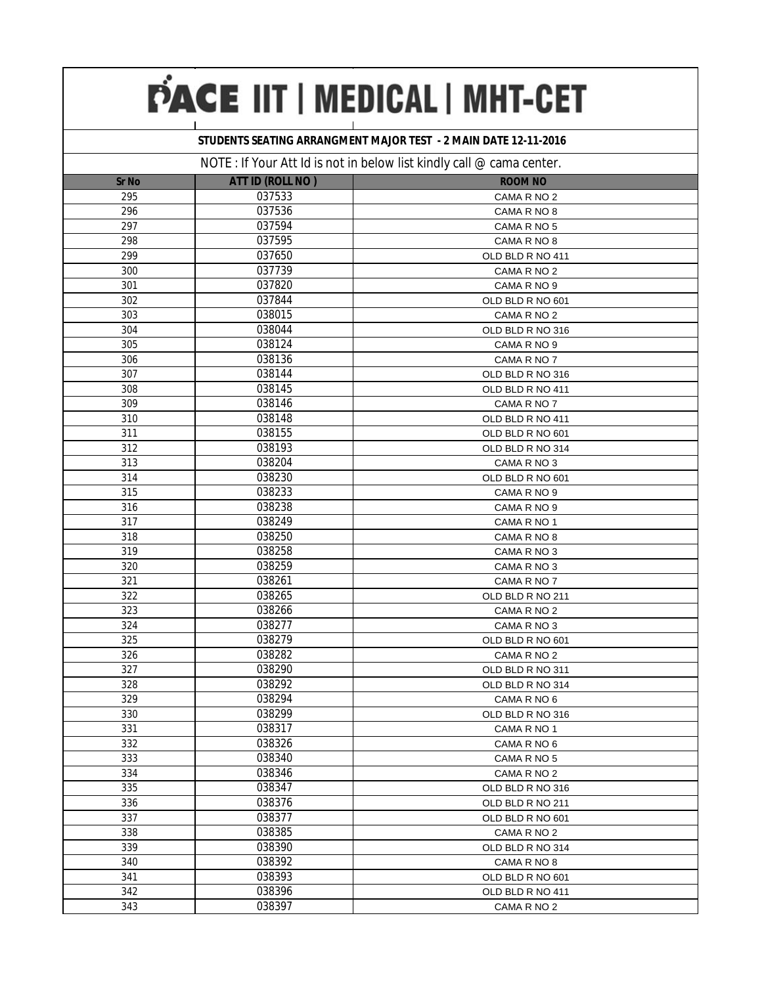### **STUDENTS SEATING ARRANGMENT MAJOR TEST - 2 MAIN DATE 12-11-2016**

|              |                         | $N$ $\cup$ $L$ . If you Att id is not in below itst Kindry can $\infty$ canna center. |
|--------------|-------------------------|---------------------------------------------------------------------------------------|
| <b>Sr No</b> | <b>ATT ID (ROLL NO)</b> | <b>ROOM NO</b>                                                                        |
| 295          | 037533                  | CAMA R NO 2                                                                           |
| 296          | 037536                  | CAMA R NO 8                                                                           |
| 297          | 037594                  | CAMA R NO 5                                                                           |
| 298          | 037595                  | CAMA R NO 8                                                                           |
| 299          | 037650                  | OLD BLD R NO 411                                                                      |
| 300          | 037739                  | CAMA R NO 2                                                                           |
| 301          | 037820                  | CAMA R NO 9                                                                           |
| 302          | 037844                  | OLD BLD R NO 601                                                                      |
| 303          | 038015                  | CAMA R NO 2                                                                           |
| 304          | 038044                  | OLD BLD R NO 316                                                                      |
| 305          | 038124                  | CAMA R NO 9                                                                           |
| 306          | 038136                  | CAMA R NO 7                                                                           |
| 307          | 038144                  | OLD BLD R NO 316                                                                      |
| 308          | 038145                  | OLD BLD R NO 411                                                                      |
| 309          | 038146                  | CAMA R NO 7                                                                           |
| 310          | 038148                  | OLD BLD R NO 411                                                                      |
| 311          | 038155                  | OLD BLD R NO 601                                                                      |
| 312          | 038193                  | OLD BLD R NO 314                                                                      |
| 313          | 038204                  | CAMA R NO 3                                                                           |
| 314          | 038230                  | OLD BLD R NO 601                                                                      |
| 315          | 038233                  | CAMA R NO 9                                                                           |
| 316          | 038238                  | CAMA R NO 9                                                                           |
| 317          | 038249                  | CAMA R NO 1                                                                           |
| 318          | 038250                  | CAMA R NO 8                                                                           |
| 319          | 038258                  | CAMA R NO 3                                                                           |
| 320          | 038259                  | CAMA R NO 3                                                                           |
| 321          | 038261                  | CAMA R NO 7                                                                           |
| 322          | 038265                  | OLD BLD R NO 211                                                                      |
| 323          | 038266                  | CAMA R NO 2                                                                           |
| 324          | 038277                  | CAMA R NO 3                                                                           |
| 325          | 038279                  | OLD BLD R NO 601                                                                      |
| 326          | 038282                  | CAMA R NO 2                                                                           |
| 327          | 038290                  | OLD BLD R NO 311                                                                      |
| 328          | 038292                  | OLD BLD R NO 314                                                                      |
| 329          | 038294                  | CAMA R NO 6                                                                           |
| 330          | 038299                  | OLD BLD R NO 316                                                                      |
| 331          | 038317                  | CAMA R NO 1                                                                           |
| 332          | 038326                  | CAMA R NO 6                                                                           |
| 333          | 038340                  | CAMA R NO 5                                                                           |
| 334          | 038346                  | CAMA R NO 2                                                                           |
| 335          | 038347                  | OLD BLD R NO 316                                                                      |
| 336          | 038376                  | OLD BLD R NO 211                                                                      |
| 337          | 038377                  | OLD BLD R NO 601                                                                      |
| 338          | 038385                  | CAMA R NO 2                                                                           |
| 339          | 038390                  | OLD BLD R NO 314                                                                      |
| 340          | 038392                  | CAMA R NO 8                                                                           |
| 341          | 038393                  | OLD BLD R NO 601                                                                      |
| 342          | 038396                  | OLD BLD R NO 411                                                                      |
| 343          | 038397                  | CAMA R NO 2                                                                           |
|              |                         |                                                                                       |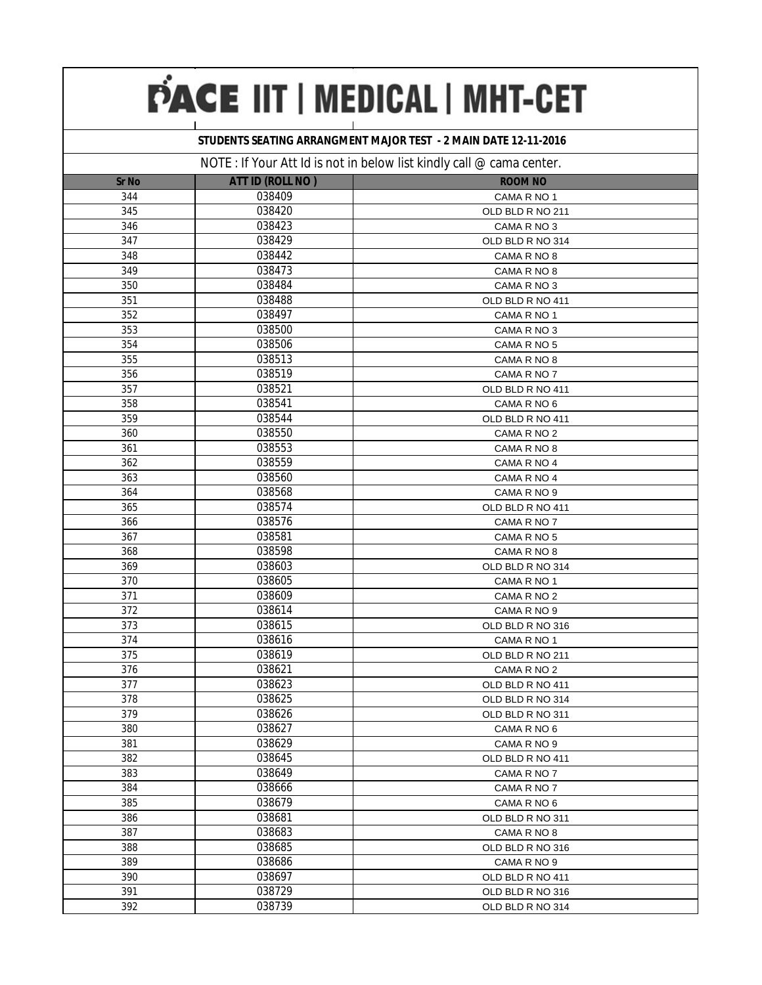### **STUDENTS SEATING ARRANGMENT MAJOR TEST - 2 MAIN DATE 12-11-2016**

|              |                         | IVOTE. IF TOUR ALL RELIGIOUS IN DURING ISLAMING YOU was completed. |
|--------------|-------------------------|--------------------------------------------------------------------|
| <b>Sr No</b> | <b>ATT ID (ROLL NO)</b> | <b>ROOM NO</b>                                                     |
| 344          | 038409                  | CAMA R NO 1                                                        |
| 345          | 038420                  | OLD BLD R NO 211                                                   |
| 346          | 038423                  | CAMA R NO 3                                                        |
| 347          | 038429                  | OLD BLD R NO 314                                                   |
| 348          | 038442                  | CAMA R NO 8                                                        |
| 349          | 038473                  | CAMA R NO 8                                                        |
| 350          | 038484                  | CAMA R NO 3                                                        |
| 351          | 038488                  | OLD BLD R NO 411                                                   |
| 352          | 038497                  | CAMA R NO 1                                                        |
| 353          | 038500                  | CAMA R NO 3                                                        |
| 354          | 038506                  | CAMA R NO 5                                                        |
| 355          | 038513                  | CAMA R NO 8                                                        |
| 356          | 038519                  | CAMA R NO 7                                                        |
| 357          | 038521                  | OLD BLD R NO 411                                                   |
| 358          | 038541                  | CAMA R NO 6                                                        |
| 359          | 038544                  | OLD BLD R NO 411                                                   |
| 360          | 038550                  | CAMA R NO 2                                                        |
| 361          | 038553                  | CAMA R NO 8                                                        |
| 362          | 038559                  | CAMA R NO 4                                                        |
| 363          | 038560                  | CAMA R NO 4                                                        |
| 364          | 038568                  | CAMA R NO 9                                                        |
| 365          | 038574                  | OLD BLD R NO 411                                                   |
| 366          | 038576                  | CAMA R NO 7                                                        |
| 367          | 038581                  | CAMA R NO 5                                                        |
| 368          | 038598                  | CAMA R NO 8                                                        |
| 369          | 038603                  | OLD BLD R NO 314                                                   |
| 370          | 038605                  | CAMA R NO 1                                                        |
| 371          | 038609                  | CAMA R NO 2                                                        |
| 372          | 038614                  | CAMA R NO 9                                                        |
| 373          | 038615                  | OLD BLD R NO 316                                                   |
| 374          | 038616                  | CAMA R NO 1                                                        |
| 375          | 038619                  | OLD BLD R NO 211                                                   |
| 376          | 038621                  | CAMA R NO 2                                                        |
| 377          | 038623                  | OLD BLD R NO 411                                                   |
| 378          | 038625                  | OLD BLD R NO 314                                                   |
| 379          | 038626                  | OLD BLD R NO 311                                                   |
| 380          | 038627                  | CAMA R NO 6                                                        |
| 381          | 038629                  | CAMA R NO 9                                                        |
| 382          | 038645                  | OLD BLD R NO 411                                                   |
| 383          | 038649                  | CAMA R NO 7                                                        |
| 384          | 038666                  | CAMA R NO 7                                                        |
| 385          | 038679                  | CAMA R NO 6                                                        |
| 386          | 038681                  | OLD BLD R NO 311                                                   |
| 387          | 038683                  | CAMA R NO 8                                                        |
| 388          | 038685                  | OLD BLD R NO 316                                                   |
| 389          | 038686                  | CAMA R NO 9                                                        |
| 390          | 038697                  | OLD BLD R NO 411                                                   |
| 391          | 038729                  | OLD BLD R NO 316                                                   |
| 392          | 038739                  | OLD BLD R NO 314                                                   |
|              |                         |                                                                    |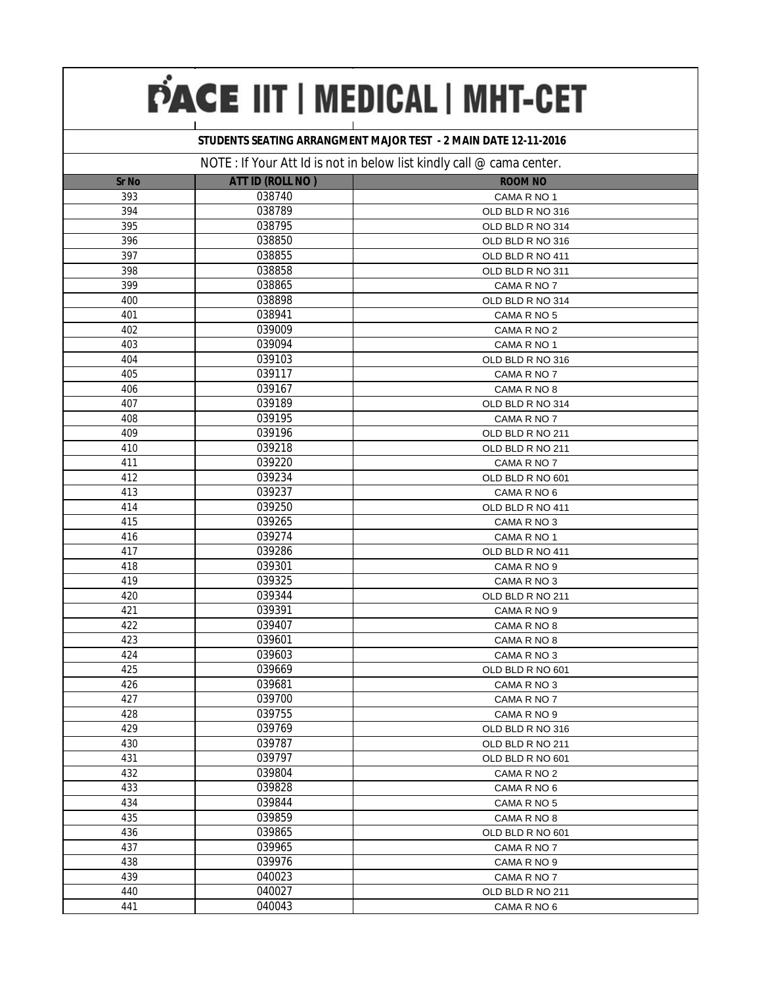#### **STUDENTS SEATING ARRANGMENT MAJOR TEST - 2 MAIN DATE 12-11-2016**

|              |                         | $N$ $\cup$ $L$ . If you Att id is not in below itst Kindry can $\infty$ canna center. |  |
|--------------|-------------------------|---------------------------------------------------------------------------------------|--|
| <b>Sr No</b> | <b>ATT ID (ROLL NO)</b> | <b>ROOM NO</b>                                                                        |  |
| 393          | 038740                  | CAMA R NO 1                                                                           |  |
| 394          | 038789                  | OLD BLD R NO 316                                                                      |  |
| 395          | 038795                  | OLD BLD R NO 314                                                                      |  |
| 396          | 038850                  | OLD BLD R NO 316                                                                      |  |
| 397          | 038855                  | OLD BLD R NO 411                                                                      |  |
| 398          | 038858                  | OLD BLD R NO 311                                                                      |  |
| 399          | 038865                  | CAMA R NO 7                                                                           |  |
| 400          | 038898                  | OLD BLD R NO 314                                                                      |  |
| 401          | 038941                  | CAMA R NO 5                                                                           |  |
| 402          | 039009                  | CAMA R NO 2                                                                           |  |
| 403          | 039094                  | CAMA R NO 1                                                                           |  |
| 404          | 039103                  | OLD BLD R NO 316                                                                      |  |
| 405          | 039117                  | CAMA R NO 7                                                                           |  |
| 406          | 039167                  | CAMA R NO 8                                                                           |  |
| 407          | 039189                  | OLD BLD R NO 314                                                                      |  |
| 408          | 039195                  | CAMA R NO 7                                                                           |  |
| 409          | 039196                  | OLD BLD R NO 211                                                                      |  |
| 410          | 039218                  | OLD BLD R NO 211                                                                      |  |
| 411          | 039220                  | CAMA R NO 7                                                                           |  |
| 412          | 039234                  | OLD BLD R NO 601                                                                      |  |
| 413          | 039237                  | CAMA R NO 6                                                                           |  |
| 414          | 039250                  | OLD BLD R NO 411                                                                      |  |
| 415          | 039265                  | CAMA R NO 3                                                                           |  |
| 416          | 039274                  | CAMA R NO 1                                                                           |  |
| 417          | 039286                  | OLD BLD R NO 411                                                                      |  |
| 418          | 039301                  | CAMA R NO 9                                                                           |  |
| 419          | 039325                  | CAMA R NO 3                                                                           |  |
| 420          | 039344                  | OLD BLD R NO 211                                                                      |  |
| 421          | 039391                  | CAMA R NO 9                                                                           |  |
| 422          | 039407                  | CAMA R NO 8                                                                           |  |
| 423          | 039601                  | CAMA R NO 8                                                                           |  |
| 424          | 039603                  | CAMA R NO 3                                                                           |  |
| 425          | 039669                  | OLD BLD R NO 601                                                                      |  |
| 426          | 039681                  | CAMA R NO 3                                                                           |  |
| 427          | 039700                  | CAMA R NO 7                                                                           |  |
| 428          | 039755                  | CAMA R NO 9                                                                           |  |
| 429          | 039769                  | OLD BLD R NO 316                                                                      |  |
| 430          | 039787                  | OLD BLD R NO 211                                                                      |  |
| 431          | 039797                  | OLD BLD R NO 601                                                                      |  |
| 432          | 039804                  | CAMA R NO 2                                                                           |  |
| 433          | 039828                  | CAMA R NO 6                                                                           |  |
| 434          | 039844                  | CAMA R NO 5                                                                           |  |
| 435          | 039859                  | CAMA R NO 8                                                                           |  |
| 436          | 039865                  | OLD BLD R NO 601                                                                      |  |
| 437          | 039965                  | CAMA R NO 7                                                                           |  |
| 438          | 039976                  | CAMA R NO 9                                                                           |  |
| 439          | 040023                  | CAMA R NO 7                                                                           |  |
| 440          | 040027                  | OLD BLD R NO 211                                                                      |  |
| 441          | 040043                  | CAMA R NO 6                                                                           |  |
|              |                         |                                                                                       |  |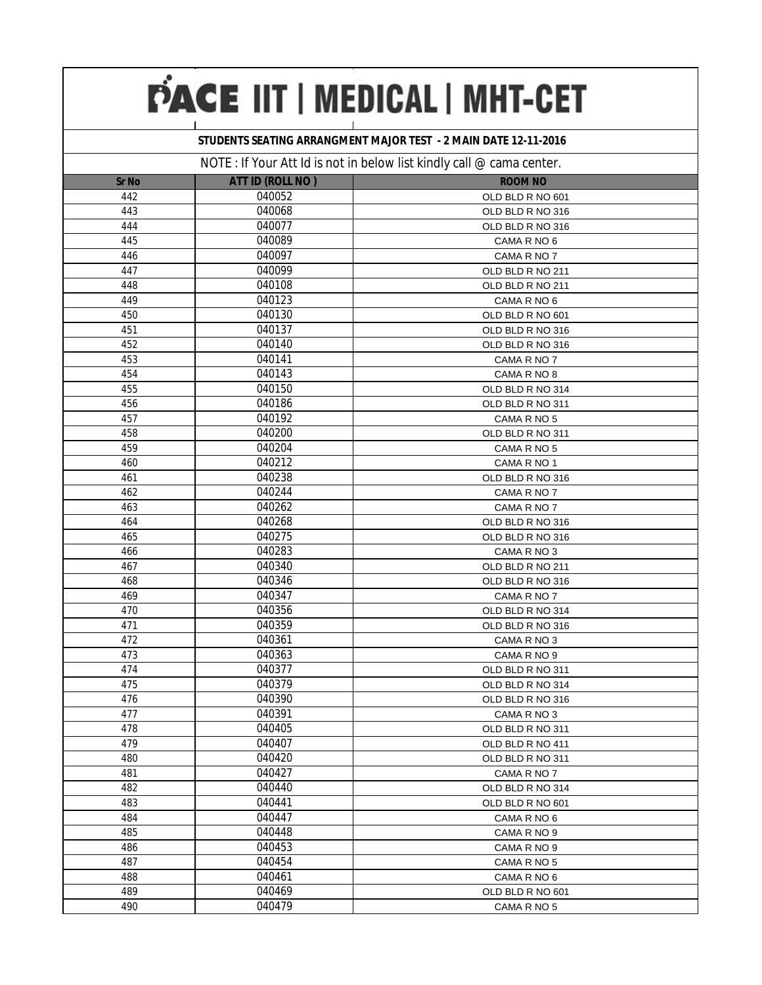### **STUDENTS SEATING ARRANGMENT MAJOR TEST - 2 MAIN DATE 12-11-2016**

|              |                  | IVOTE. IF TO GET ALL RELEVANTION TO LOW TISK NITROG VALUE SOME COTTLOL. |
|--------------|------------------|-------------------------------------------------------------------------|
| <b>Sr No</b> | ATT ID (ROLL NO) | <b>ROOM NO</b>                                                          |
| 442          | 040052           | OLD BLD R NO 601                                                        |
| 443          | 040068           | OLD BLD R NO 316                                                        |
| 444          | 040077           | OLD BLD R NO 316                                                        |
| 445          | 040089           | CAMA R NO 6                                                             |
| 446          | 040097           | CAMA R NO 7                                                             |
| 447          | 040099           | OLD BLD R NO 211                                                        |
| 448          | 040108           | OLD BLD R NO 211                                                        |
| 449          | 040123           | CAMA R NO 6                                                             |
| 450          | 040130           | OLD BLD R NO 601                                                        |
| 451          | 040137           | OLD BLD R NO 316                                                        |
| 452          | 040140           | OLD BLD R NO 316                                                        |
| 453          | 040141           | CAMA R NO 7                                                             |
| 454          | 040143           | CAMA R NO 8                                                             |
| 455          | 040150           | OLD BLD R NO 314                                                        |
| 456          | 040186           | OLD BLD R NO 311                                                        |
| 457          | 040192           | CAMA R NO 5                                                             |
| 458          | 040200           | OLD BLD R NO 311                                                        |
| 459          | 040204           | CAMA R NO 5                                                             |
| 460          | 040212           | CAMA R NO 1                                                             |
| 461          | 040238           | OLD BLD R NO 316                                                        |
| 462          | 040244           | CAMA R NO 7                                                             |
| 463          | 040262           | CAMA R NO 7                                                             |
| 464          | 040268           | OLD BLD R NO 316                                                        |
| 465          | 040275           | OLD BLD R NO 316                                                        |
| 466          | 040283           | CAMA R NO 3                                                             |
| 467          | 040340           | OLD BLD R NO 211                                                        |
| 468          | 040346           | OLD BLD R NO 316                                                        |
| 469          | 040347           | CAMA R NO 7                                                             |
| 470          | 040356           | OLD BLD R NO 314                                                        |
| 471          | 040359           | OLD BLD R NO 316                                                        |
| 472          | 040361           | CAMA R NO 3                                                             |
| 473          | 040363           | CAMA R NO 9                                                             |
| 474          | 040377           | OLD BLD R NO 311                                                        |
| 475          | 040379           | OLD BLD R NO 314                                                        |
| 476          | 040390           | OLD BLD R NO 316                                                        |
| 477          | 040391           | CAMA R NO 3                                                             |
| 478          | 040405           | OLD BLD R NO 311                                                        |
| 479          | 040407           | OLD BLD R NO 411                                                        |
| 480          | 040420           | OLD BLD R NO 311                                                        |
| 481          | 040427           | CAMA R NO 7                                                             |
| 482          | 040440           | OLD BLD R NO 314                                                        |
| 483          | 040441           | OLD BLD R NO 601                                                        |
| 484          | 040447           | CAMA R NO 6                                                             |
| 485          | 040448           | CAMA R NO 9                                                             |
| 486          | 040453           | CAMA R NO 9                                                             |
| 487          | 040454           | CAMA R NO 5                                                             |
| 488          | 040461           | CAMA R NO 6                                                             |
| 489          | 040469           | OLD BLD R NO 601                                                        |
| 490          | 040479           | CAMA R NO 5                                                             |
|              |                  |                                                                         |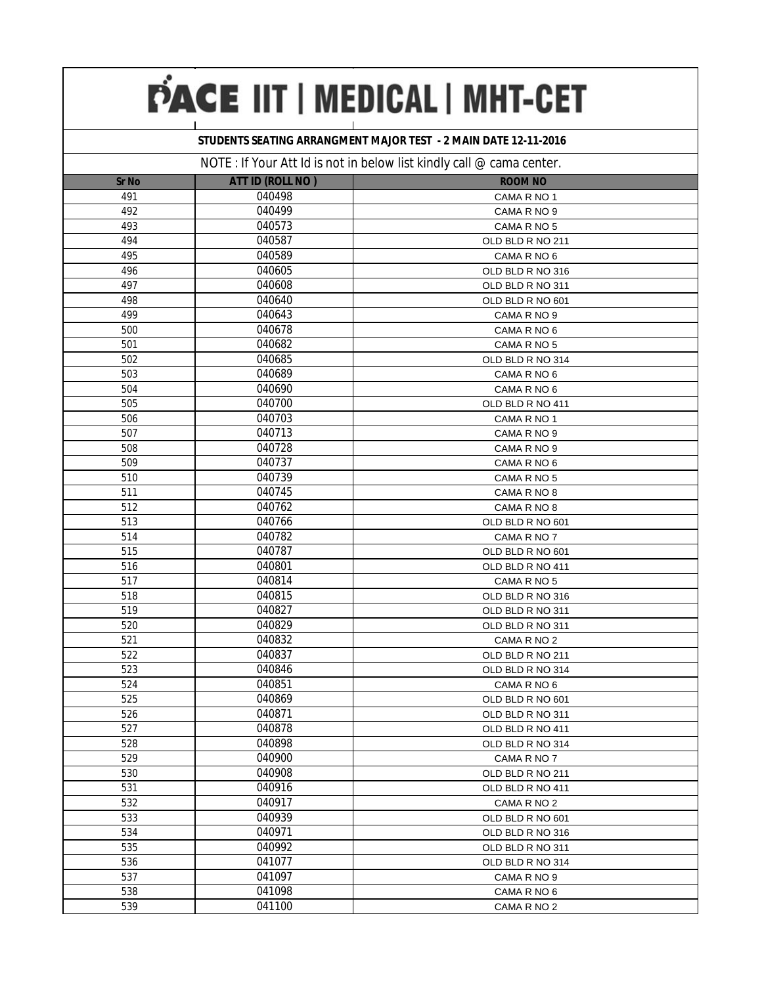### **STUDENTS SEATING ARRANGMENT MAJOR TEST - 2 MAIN DATE 12-11-2016**

|              |                  | $1901L$ , if your Art to is not in below itst Kindly can $\infty$ canna center. |
|--------------|------------------|---------------------------------------------------------------------------------|
| <b>Sr No</b> | ATT ID (ROLL NO) | <b>ROOM NO</b>                                                                  |
| 491          | 040498           | CAMA R NO 1                                                                     |
| 492          | 040499           | CAMA R NO 9                                                                     |
| 493          | 040573           | CAMA R NO 5                                                                     |
| 494          | 040587           | OLD BLD R NO 211                                                                |
| 495          | 040589           | CAMA R NO 6                                                                     |
| 496          | 040605           | OLD BLD R NO 316                                                                |
| 497          | 040608           | OLD BLD R NO 311                                                                |
| 498          | 040640           | OLD BLD R NO 601                                                                |
| 499          | 040643           | CAMA R NO 9                                                                     |
| 500          | 040678           | CAMA R NO 6                                                                     |
| 501          | 040682           | CAMA R NO 5                                                                     |
| 502          | 040685           | OLD BLD R NO 314                                                                |
| 503          | 040689           | CAMA R NO 6                                                                     |
| 504          | 040690           | CAMA R NO 6                                                                     |
| 505          | 040700           | OLD BLD R NO 411                                                                |
| 506          | 040703           | CAMA R NO 1                                                                     |
| 507          | 040713           | CAMA R NO 9                                                                     |
| 508          | 040728           | CAMA R NO 9                                                                     |
| 509          | 040737           | CAMA R NO 6                                                                     |
| 510          | 040739           | CAMA R NO 5                                                                     |
| 511          | 040745           | CAMA R NO 8                                                                     |
| 512          | 040762           | CAMA R NO 8                                                                     |
| 513          | 040766           | OLD BLD R NO 601                                                                |
| 514          | 040782           | CAMA R NO 7                                                                     |
| 515          | 040787           | OLD BLD R NO 601                                                                |
| 516          | 040801           | OLD BLD R NO 411                                                                |
| 517          | 040814           | CAMA R NO 5                                                                     |
| 518          | 040815           | OLD BLD R NO 316                                                                |
| 519          | 040827           | OLD BLD R NO 311                                                                |
| 520          | 040829           | OLD BLD R NO 311                                                                |
| 521          | 040832           | CAMA R NO 2                                                                     |
| 522          | 040837           | OLD BLD R NO 211                                                                |
| 523          | 040846           | OLD BLD R NO 314                                                                |
| 524          | 040851           | CAMA R NO 6                                                                     |
| 525          | 040869           | OLD BLD R NO 601                                                                |
| 526          | 040871           | OLD BLD R NO 311                                                                |
| 527          | 040878           | OLD BLD R NO 411                                                                |
| 528          | 040898           | OLD BLD R NO 314                                                                |
| 529          | 040900           | CAMA R NO 7                                                                     |
| 530          | 040908           | OLD BLD R NO 211                                                                |
| 531          | 040916           | OLD BLD R NO 411                                                                |
| 532          | 040917           | CAMA R NO 2                                                                     |
| 533          | 040939           | OLD BLD R NO 601                                                                |
| 534          | 040971           | OLD BLD R NO 316                                                                |
| 535          | 040992           | OLD BLD R NO 311                                                                |
| 536          | 041077           | OLD BLD R NO 314                                                                |
| 537          | 041097           | CAMA R NO 9                                                                     |
| 538          | 041098           | CAMA R NO 6                                                                     |
| 539          | 041100           | CAMA R NO 2                                                                     |
|              |                  |                                                                                 |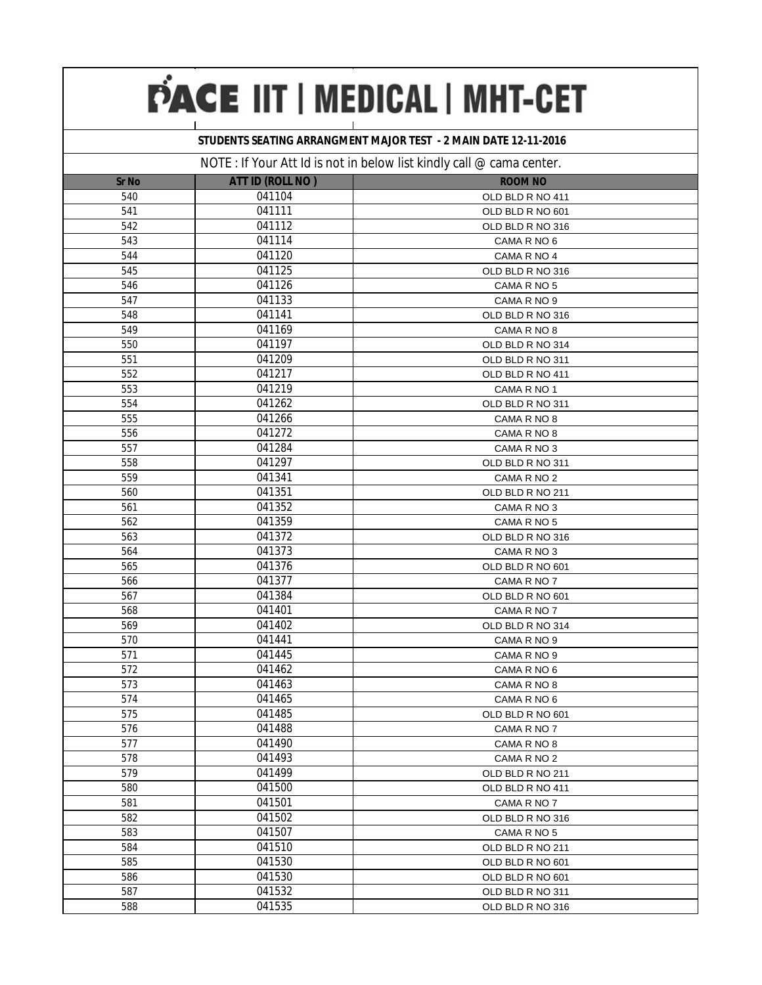### **STUDENTS SEATING ARRANGMENT MAJOR TEST - 2 MAIN DATE 12-11-2016**

|              |                  | $110$ in the product of $3100$ in below that will $\theta$ can $\approx$ called content. |
|--------------|------------------|------------------------------------------------------------------------------------------|
| <b>Sr No</b> | ATT ID (ROLL NO) | <b>ROOM NO</b>                                                                           |
| 540          | 041104           | OLD BLD R NO 411                                                                         |
| 541          | 041111           | OLD BLD R NO 601                                                                         |
| 542          | 041112           | OLD BLD R NO 316                                                                         |
| 543          | 041114           | CAMA R NO 6                                                                              |
| 544          | 041120           | CAMA R NO 4                                                                              |
| 545          | 041125           | OLD BLD R NO 316                                                                         |
| 546          | 041126           | CAMA R NO 5                                                                              |
| 547          | 041133           | CAMA R NO 9                                                                              |
| 548          | 041141           | OLD BLD R NO 316                                                                         |
| 549          | 041169           | CAMA R NO 8                                                                              |
| 550          | 041197           | OLD BLD R NO 314                                                                         |
| 551          | 041209           | OLD BLD R NO 311                                                                         |
| 552          | 041217           | OLD BLD R NO 411                                                                         |
| 553          | 041219           | CAMA R NO 1                                                                              |
| 554          | 041262           | OLD BLD R NO 311                                                                         |
| 555          | 041266           | CAMA R NO 8                                                                              |
| 556          | 041272           | CAMA R NO 8                                                                              |
| 557          | 041284           | CAMA R NO 3                                                                              |
| 558          | 041297           | OLD BLD R NO 311                                                                         |
| 559          | 041341           | CAMA R NO 2                                                                              |
| 560          | 041351           | OLD BLD R NO 211                                                                         |
| 561          | 041352           | CAMA R NO 3                                                                              |
| 562          | 041359           | CAMA R NO 5                                                                              |
| 563          | 041372           | OLD BLD R NO 316                                                                         |
| 564          | 041373           | CAMA R NO 3                                                                              |
| 565          | 041376           | OLD BLD R NO 601                                                                         |
| 566          | 041377           | CAMA R NO 7                                                                              |
| 567          | 041384           | OLD BLD R NO 601                                                                         |
| 568          | 041401           | CAMA R NO 7                                                                              |
| 569          | 041402           | OLD BLD R NO 314                                                                         |
| 570          | 041441           | CAMA R NO 9                                                                              |
| 571          | 041445           | CAMA R NO 9                                                                              |
| 572          | 041462           | CAMA R NO 6                                                                              |
| 573          | 041463           | CAMA R NO 8                                                                              |
| 574          | 041465           | CAMA R NO 6                                                                              |
| 575          | 041485           | OLD BLD R NO 601                                                                         |
| 576          | 041488           | CAMA R NO 7                                                                              |
| 577          | 041490           | CAMA R NO 8                                                                              |
| 578          | 041493           | CAMA R NO 2                                                                              |
| 579          | 041499           | OLD BLD R NO 211                                                                         |
| 580          | 041500           | OLD BLD R NO 411                                                                         |
| 581          | 041501           | CAMA R NO 7                                                                              |
| 582          | 041502           | OLD BLD R NO 316                                                                         |
| 583          | 041507           | CAMA R NO 5                                                                              |
| 584          | 041510           | OLD BLD R NO 211                                                                         |
| 585          | 041530           | OLD BLD R NO 601                                                                         |
| 586          | 041530           | OLD BLD R NO 601                                                                         |
| 587          | 041532           | OLD BLD R NO 311                                                                         |
| 588          | 041535           | OLD BLD R NO 316                                                                         |
|              |                  |                                                                                          |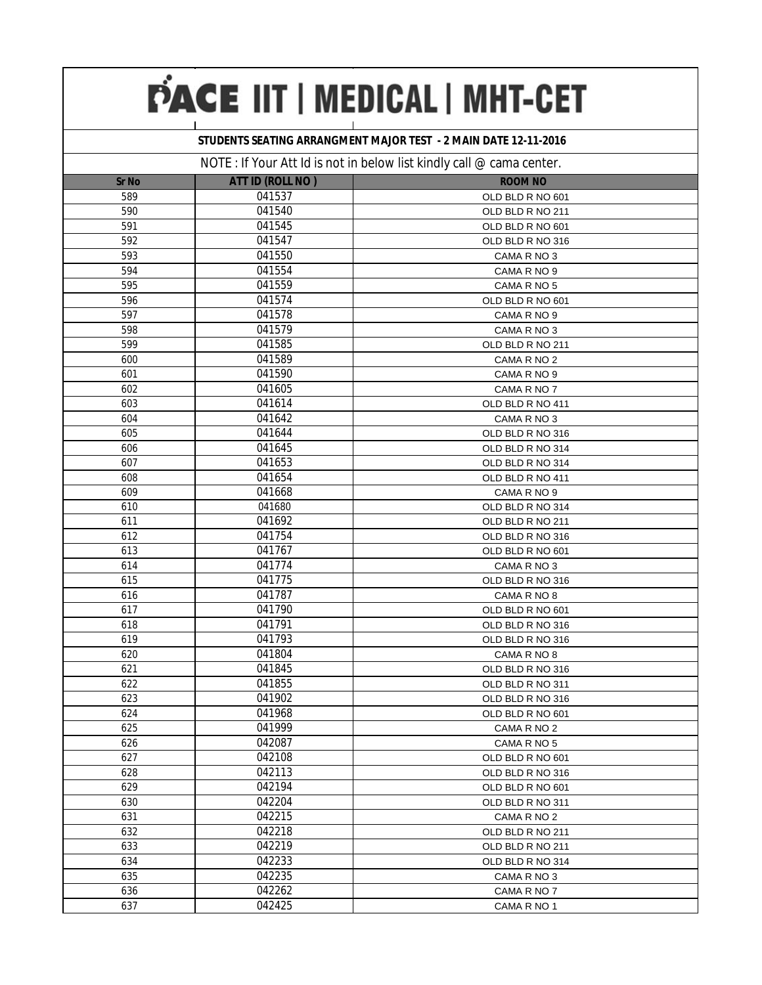### **STUDENTS SEATING ARRANGMENT MAJOR TEST - 2 MAIN DATE 12-11-2016**

|              |                  | $110$ TE . IT TOWER TO BE THOT ITEDCTORY TIST NITIDELY CALL $\approx$ Carrier Correct. |  |
|--------------|------------------|----------------------------------------------------------------------------------------|--|
| <b>Sr No</b> | ATT ID (ROLL NO) | <b>ROOM NO</b>                                                                         |  |
| 589          | 041537           | OLD BLD R NO 601                                                                       |  |
| 590          | 041540           | OLD BLD R NO 211                                                                       |  |
| 591          | 041545           | OLD BLD R NO 601                                                                       |  |
| 592          | 041547           | OLD BLD R NO 316                                                                       |  |
| 593          | 041550           | CAMA R NO 3                                                                            |  |
| 594          | 041554           | CAMA R NO 9                                                                            |  |
| 595          | 041559           | CAMA R NO 5                                                                            |  |
| 596          | 041574           | OLD BLD R NO 601                                                                       |  |
| 597          | 041578           | CAMA R NO 9                                                                            |  |
| 598          | 041579           | CAMA R NO 3                                                                            |  |
| 599          | 041585           | OLD BLD R NO 211                                                                       |  |
| 600          | 041589           | CAMA R NO 2                                                                            |  |
| 601          | 041590           | CAMA R NO 9                                                                            |  |
| 602          | 041605           | CAMA R NO 7                                                                            |  |
| 603          | 041614           | OLD BLD R NO 411                                                                       |  |
| 604          | 041642           | CAMA R NO 3                                                                            |  |
| 605          | 041644           | OLD BLD R NO 316                                                                       |  |
| 606          | 041645           | OLD BLD R NO 314                                                                       |  |
| 607          | 041653           | OLD BLD R NO 314                                                                       |  |
| 608          | 041654           | OLD BLD R NO 411                                                                       |  |
| 609          | 041668           | CAMA R NO 9                                                                            |  |
| 610          | 041680           | OLD BLD R NO 314                                                                       |  |
| 611          | 041692           | OLD BLD R NO 211                                                                       |  |
| 612          | 041754           | OLD BLD R NO 316                                                                       |  |
| 613          | 041767           | OLD BLD R NO 601                                                                       |  |
| 614          | 041774           | CAMA R NO 3                                                                            |  |
| 615          | 041775           | OLD BLD R NO 316                                                                       |  |
| 616          | 041787           | CAMA R NO 8                                                                            |  |
| 617          | 041790           | OLD BLD R NO 601                                                                       |  |
| 618          | 041791           | OLD BLD R NO 316                                                                       |  |
| 619          | 041793           | OLD BLD R NO 316                                                                       |  |
| 620          | 041804           | CAMA R NO 8                                                                            |  |
| 621          | 041845           | OLD BLD R NO 316                                                                       |  |
| 622          | 041855           | OLD BLD R NO 311                                                                       |  |
| 623          | 041902           | OLD BLD R NO 316                                                                       |  |
| 624          | 041968           | OLD BLD R NO 601                                                                       |  |
| 625          | 041999           | CAMA R NO 2                                                                            |  |
| 626          | 042087           | CAMA R NO 5                                                                            |  |
| 627          | 042108           | OLD BLD R NO 601                                                                       |  |
| 628          | 042113           | OLD BLD R NO 316                                                                       |  |
| 629          | 042194           | OLD BLD R NO 601                                                                       |  |
| 630          | 042204           | OLD BLD R NO 311                                                                       |  |
| 631          | 042215           | CAMA R NO 2                                                                            |  |
| 632          | 042218           | OLD BLD R NO 211                                                                       |  |
| 633          | 042219           | OLD BLD R NO 211                                                                       |  |
| 634          | 042233           | OLD BLD R NO 314                                                                       |  |
| 635          | 042235           | CAMA R NO 3                                                                            |  |
| 636          | 042262           | CAMA R NO 7                                                                            |  |
| 637          | 042425           | CAMA R NO 1                                                                            |  |
|              |                  |                                                                                        |  |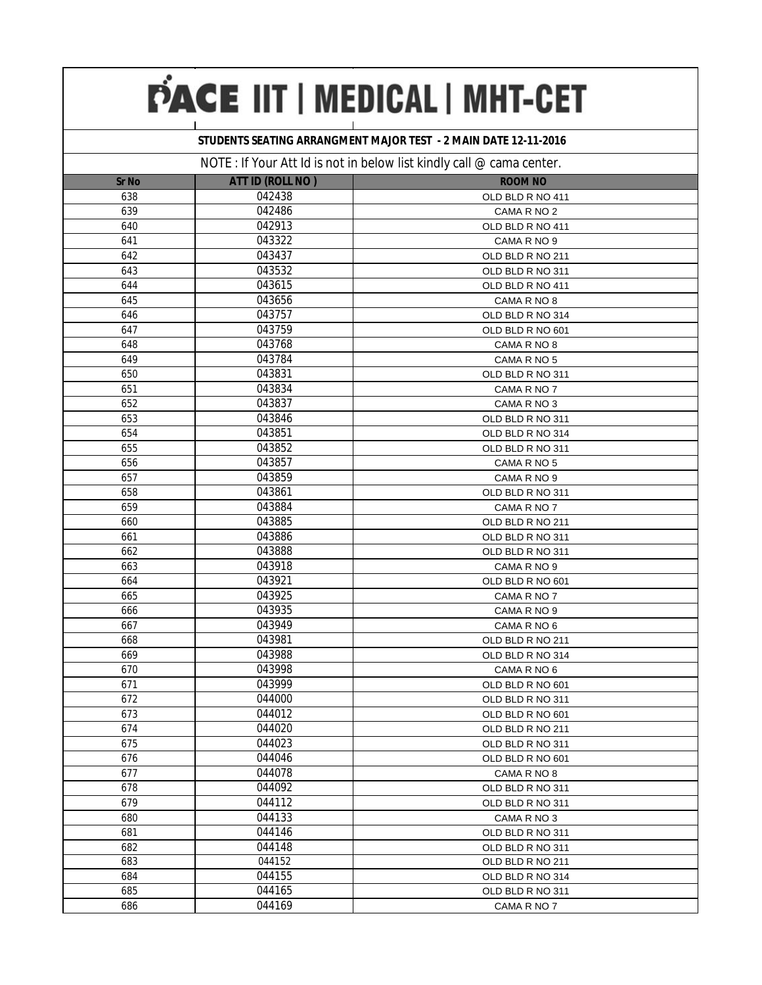### **STUDENTS SEATING ARRANGMENT MAJOR TEST - 2 MAIN DATE 12-11-2016**

|              |                         | $\frac{1}{2}$ our river is not in solon not known from $\sim$ banna bond |  |
|--------------|-------------------------|--------------------------------------------------------------------------|--|
| <b>Sr No</b> | <b>ATT ID (ROLL NO)</b> | <b>ROOM NO</b>                                                           |  |
| 638          | 042438                  | OLD BLD R NO 411                                                         |  |
| 639          | 042486                  | CAMA R NO 2                                                              |  |
| 640          | 042913                  | OLD BLD R NO 411                                                         |  |
| 641          | 043322                  | CAMA R NO 9                                                              |  |
| 642          | 043437                  | OLD BLD R NO 211                                                         |  |
| 643          | 043532                  | OLD BLD R NO 311                                                         |  |
| 644          | 043615                  | OLD BLD R NO 411                                                         |  |
| 645          | 043656                  | CAMA R NO 8                                                              |  |
| 646          | 043757                  | OLD BLD R NO 314                                                         |  |
| 647          | 043759                  | OLD BLD R NO 601                                                         |  |
| 648          | 043768                  | CAMA R NO 8                                                              |  |
| 649          | 043784                  | CAMA R NO 5                                                              |  |
| 650          | 043831                  | OLD BLD R NO 311                                                         |  |
| 651          | 043834                  | CAMA R NO 7                                                              |  |
| 652          | 043837                  | CAMA R NO 3                                                              |  |
| 653          | 043846                  | OLD BLD R NO 311                                                         |  |
| 654          | 043851                  | OLD BLD R NO 314                                                         |  |
| 655          | 043852                  | OLD BLD R NO 311                                                         |  |
| 656          | 043857                  | CAMA R NO 5                                                              |  |
| 657          | 043859                  | CAMA R NO 9                                                              |  |
| 658          | 043861                  | OLD BLD R NO 311                                                         |  |
| 659          | 043884                  | CAMA R NO 7                                                              |  |
| 660          | 043885                  | OLD BLD R NO 211                                                         |  |
| 661          | 043886                  | OLD BLD R NO 311                                                         |  |
| 662          | 043888                  | OLD BLD R NO 311                                                         |  |
| 663          | 043918                  | CAMA R NO 9                                                              |  |
| 664          | 043921                  | OLD BLD R NO 601                                                         |  |
| 665          | 043925                  | CAMA R NO 7                                                              |  |
| 666          | 043935                  | CAMA R NO 9                                                              |  |
| 667          | 043949                  | CAMA R NO 6                                                              |  |
| 668          | 043981                  | OLD BLD R NO 211                                                         |  |
| 669          | 043988                  | OLD BLD R NO 314                                                         |  |
| 670          | 043998                  | CAMA R NO 6                                                              |  |
| 671          | 043999                  | OLD BLD R NO 601                                                         |  |
| 672          | 044000                  | OLD BLD R NO 311                                                         |  |
| 673          | 044012                  | OLD BLD R NO 601                                                         |  |
| 674          | 044020                  | OLD BLD R NO 211                                                         |  |
| 675          | 044023                  | OLD BLD R NO 311                                                         |  |
| 676          | 044046                  | OLD BLD R NO 601                                                         |  |
| 677          | 044078                  | CAMA R NO 8                                                              |  |
| 678          | 044092                  | OLD BLD R NO 311                                                         |  |
| 679          | 044112                  | OLD BLD R NO 311                                                         |  |
| 680          | 044133                  | CAMA R NO 3                                                              |  |
| 681          | 044146                  | OLD BLD R NO 311                                                         |  |
| 682          | 044148                  | OLD BLD R NO 311                                                         |  |
| 683          | 044152                  | OLD BLD R NO 211                                                         |  |
| 684          | 044155                  | OLD BLD R NO 314                                                         |  |
| 685          | 044165                  | OLD BLD R NO 311                                                         |  |
| 686          | 044169                  | CAMA R NO 7                                                              |  |
|              |                         |                                                                          |  |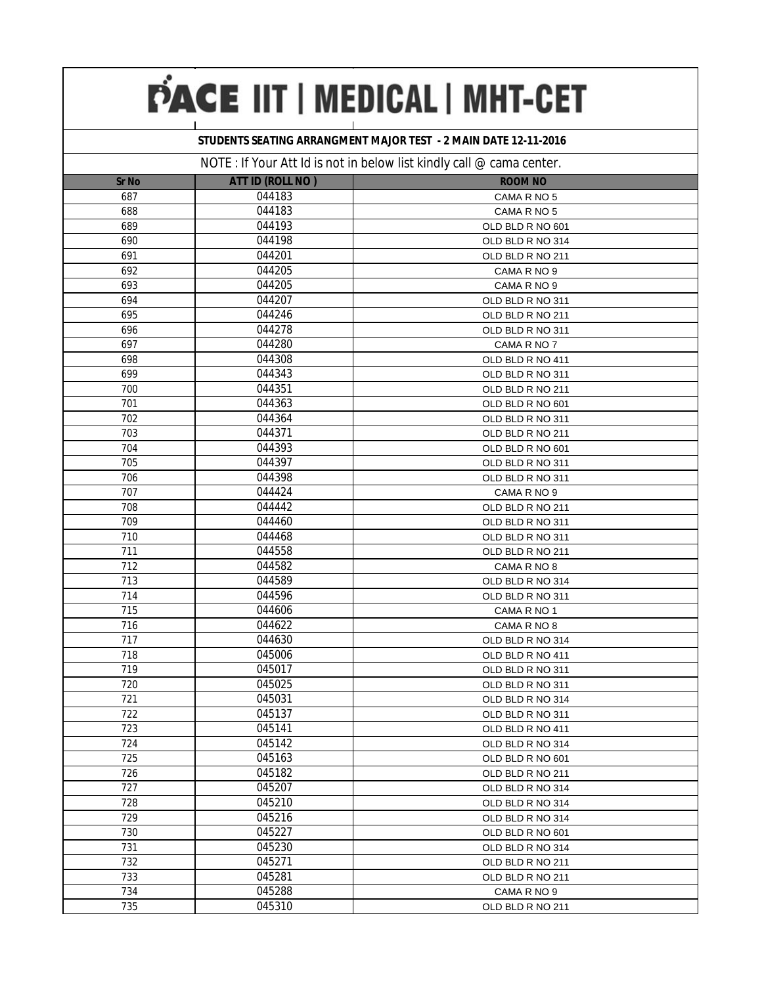### **STUDENTS SEATING ARRANGMENT MAJOR TEST - 2 MAIN DATE 12-11-2016**

|              |                  | $11011.$ To the $111.1$ To the $111.1$ To the $111.1$ To the $111.1$ To the $111.1$ To the $111.1$ To the $111.1$ |  |
|--------------|------------------|-------------------------------------------------------------------------------------------------------------------|--|
| <b>Sr No</b> | ATT ID (ROLL NO) | <b>ROOM NO</b>                                                                                                    |  |
| 687          | 044183           | CAMA R NO 5                                                                                                       |  |
| 688          | 044183           | CAMA R NO 5                                                                                                       |  |
| 689          | 044193           | OLD BLD R NO 601                                                                                                  |  |
| 690          | 044198           | OLD BLD R NO 314                                                                                                  |  |
| 691          | 044201           | OLD BLD R NO 211                                                                                                  |  |
| 692          | 044205           | CAMA R NO 9                                                                                                       |  |
| 693          | 044205           | CAMA R NO 9                                                                                                       |  |
| 694          | 044207           | OLD BLD R NO 311                                                                                                  |  |
| 695          | 044246           | OLD BLD R NO 211                                                                                                  |  |
| 696          | 044278           | OLD BLD R NO 311                                                                                                  |  |
| 697          | 044280           | CAMA R NO 7                                                                                                       |  |
| 698          | 044308           | OLD BLD R NO 411                                                                                                  |  |
| 699          | 044343           | OLD BLD R NO 311                                                                                                  |  |
| 700          | 044351           | OLD BLD R NO 211                                                                                                  |  |
| 701          | 044363           | OLD BLD R NO 601                                                                                                  |  |
| 702          | 044364           | OLD BLD R NO 311                                                                                                  |  |
| 703          | 044371           | OLD BLD R NO 211                                                                                                  |  |
| 704          | 044393           | OLD BLD R NO 601                                                                                                  |  |
| 705          | 044397           | OLD BLD R NO 311                                                                                                  |  |
| 706          | 044398           | OLD BLD R NO 311                                                                                                  |  |
| 707          | 044424           | CAMA R NO 9                                                                                                       |  |
| 708          | 044442           | OLD BLD R NO 211                                                                                                  |  |
| 709          | 044460           | OLD BLD R NO 311                                                                                                  |  |
| 710          | 044468           | OLD BLD R NO 311                                                                                                  |  |
| 711          | 044558           | OLD BLD R NO 211                                                                                                  |  |
| 712          | 044582           | CAMA R NO 8                                                                                                       |  |
| 713          | 044589           | OLD BLD R NO 314                                                                                                  |  |
| 714          | 044596           | OLD BLD R NO 311                                                                                                  |  |
| 715          | 044606           | CAMA R NO 1                                                                                                       |  |
| 716          | 044622           | CAMA R NO 8                                                                                                       |  |
| 717          | 044630           | OLD BLD R NO 314                                                                                                  |  |
| 718          | 045006           | OLD BLD R NO 411                                                                                                  |  |
| 719          | 045017           | OLD BLD R NO 311                                                                                                  |  |
| 720          | 045025           | OLD BLD R NO 311                                                                                                  |  |
| 721          | 045031           | OLD BLD R NO 314                                                                                                  |  |
| 722          | 045137           | OLD BLD R NO 311                                                                                                  |  |
| 723          | 045141           | OLD BLD R NO 411                                                                                                  |  |
| 724          | 045142           | OLD BLD R NO 314                                                                                                  |  |
| 725          | 045163           | OLD BLD R NO 601                                                                                                  |  |
| 726          | 045182           | OLD BLD R NO 211                                                                                                  |  |
| 727          | 045207           | OLD BLD R NO 314                                                                                                  |  |
| 728          | 045210           | OLD BLD R NO 314                                                                                                  |  |
| 729          | 045216           | OLD BLD R NO 314                                                                                                  |  |
| 730          | 045227           | OLD BLD R NO 601                                                                                                  |  |
| 731          | 045230           | OLD BLD R NO 314                                                                                                  |  |
| 732          | 045271           | OLD BLD R NO 211                                                                                                  |  |
| 733          | 045281           | OLD BLD R NO 211                                                                                                  |  |
| 734          | 045288           | CAMA R NO 9                                                                                                       |  |
| 735          | 045310           | OLD BLD R NO 211                                                                                                  |  |
|              |                  |                                                                                                                   |  |